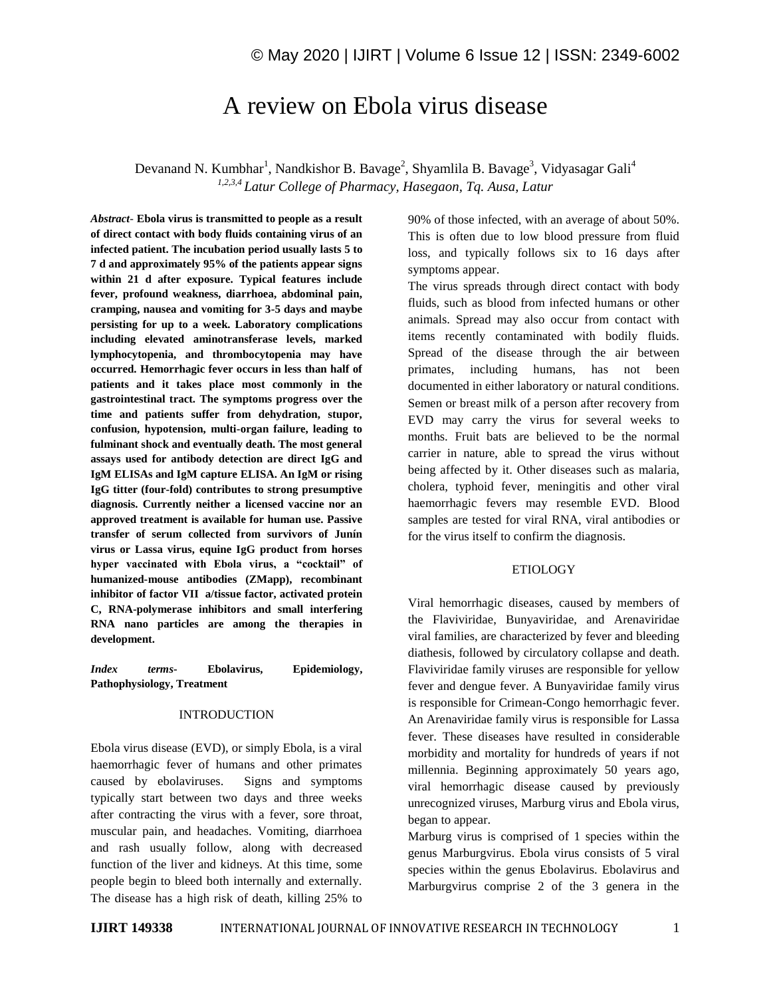# A review on Ebola virus disease

Devanand N. Kumbhar<sup>1</sup>, Nandkishor B. Bavage<sup>2</sup>, Shyamlila B. Bavage<sup>3</sup>, Vidyasagar Gali<sup>4</sup> *1,2,3,4 Latur College of Pharmacy, Hasegaon, Tq. Ausa, Latur*

*Abstract*- **Ebola virus is transmitted to people as a result of direct contact with body fluids containing virus of an infected patient. The incubation period usually lasts 5 to 7 d and approximately 95% of the patients appear signs within 21 d after exposure. Typical features include fever, profound weakness, diarrhoea, abdominal pain, cramping, nausea and vomiting for 3-5 days and maybe persisting for up to a week. Laboratory complications including elevated aminotransferase levels, marked lymphocytopenia, and thrombocytopenia may have occurred. Hemorrhagic fever occurs in less than half of patients and it takes place most commonly in the gastrointestinal tract. The symptoms progress over the time and patients suffer from dehydration, stupor, confusion, hypotension, multi-organ failure, leading to fulminant shock and eventually death. The most general assays used for antibody detection are direct IgG and IgM ELISAs and IgM capture ELISA. An IgM or rising IgG titter (four-fold) contributes to strong presumptive diagnosis. Currently neither a licensed vaccine nor an approved treatment is available for human use. Passive transfer of serum collected from survivors of Junín virus or Lassa virus, equine IgG product from horses hyper vaccinated with Ebola virus, a "cocktail" of humanized-mouse antibodies (ZMapp), recombinant inhibitor of factor VII a/tissue factor, activated protein C, RNA-polymerase inhibitors and small interfering RNA nano particles are among the therapies in development.** 

*Index terms***- Ebolavirus, Epidemiology, Pathophysiology, Treatment**

#### INTRODUCTION

Ebola virus disease (EVD), or simply Ebola, is a viral haemorrhagic fever of humans and other primates caused by ebolaviruses. Signs and symptoms typically start between two days and three weeks after contracting the virus with a fever, sore throat, muscular pain, and headaches. Vomiting, diarrhoea and rash usually follow, along with decreased function of the liver and kidneys. At this time, some people begin to bleed both internally and externally. The disease has a high risk of death, killing 25% to 90% of those infected, with an average of about 50%. This is often due to low blood pressure from fluid loss, and typically follows six to 16 days after symptoms appear.

The virus spreads through direct contact with body fluids, such as blood from infected humans or other animals. Spread may also occur from contact with items recently contaminated with bodily fluids. Spread of the disease through the air between primates, including humans, has not been documented in either laboratory or natural conditions. Semen or breast milk of a person after recovery from EVD may carry the virus for several weeks to months. Fruit bats are believed to be the normal carrier in nature, able to spread the virus without being affected by it. Other diseases such as malaria, cholera, typhoid fever, meningitis and other viral haemorrhagic fevers may resemble EVD. Blood samples are tested for viral RNA, viral antibodies or for the virus itself to confirm the diagnosis.

## ETIOLOGY

Viral hemorrhagic diseases, caused by members of the Flaviviridae, Bunyaviridae, and Arenaviridae viral families, are characterized by fever and bleeding diathesis, followed by circulatory collapse and death. Flaviviridae family viruses are responsible for yellow fever and dengue fever. A Bunyaviridae family virus is responsible for Crimean-Congo hemorrhagic fever. An Arenaviridae family virus is responsible for Lassa fever. These diseases have resulted in considerable morbidity and mortality for hundreds of years if not millennia. Beginning approximately 50 years ago, viral hemorrhagic disease caused by previously unrecognized viruses, Marburg virus and Ebola virus, began to appear.

Marburg virus is comprised of 1 species within the genus Marburgvirus. Ebola virus consists of 5 viral species within the genus Ebolavirus. Ebolavirus and Marburgvirus comprise 2 of the 3 genera in the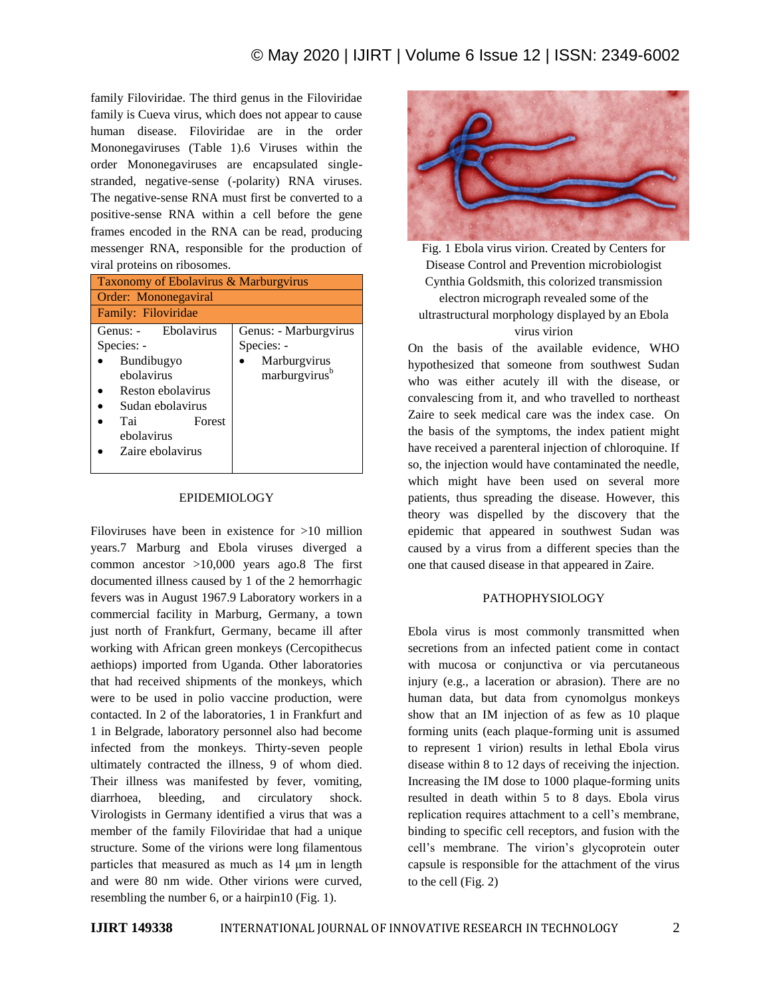family Filoviridae. The third genus in the Filoviridae family is Cueva virus, which does not appear to cause human disease. Filoviridae are in the order Mononegaviruses (Table 1).6 Viruses within the order Mononegaviruses are encapsulated singlestranded, negative-sense (-polarity) RNA viruses. The negative-sense RNA must first be converted to a positive-sense RNA within a cell before the gene frames encoded in the RNA can be read, producing messenger RNA, responsible for the production of viral proteins on ribosomes.

| Taxonomy of Ebolavirus & Marburgvirus |                           |
|---------------------------------------|---------------------------|
| Order: Mononegaviral                  |                           |
| Family: Filoviridae                   |                           |
| Genus: - Ebolavirus                   | Genus: - Marburgvirus     |
| Species: -                            | Species: -                |
| Bundibugyo                            | Marburgvirus              |
| ebolavirus                            | marburgvirus <sup>b</sup> |
| Reston ebolavirus                     |                           |
| Sudan ebolavirus                      |                           |
| Tai<br>Forest                         |                           |
| ebolavirus                            |                           |
| Zaire ebolavirus                      |                           |
|                                       |                           |

## EPIDEMIOLOGY

Filoviruses have been in existence for >10 million years.7 Marburg and Ebola viruses diverged a common ancestor >10,000 years ago.8 The first documented illness caused by 1 of the 2 hemorrhagic fevers was in August 1967.9 Laboratory workers in a commercial facility in Marburg, Germany, a town just north of Frankfurt, Germany, became ill after working with African green monkeys (Cercopithecus aethiops) imported from Uganda. Other laboratories that had received shipments of the monkeys, which were to be used in polio vaccine production, were contacted. In 2 of the laboratories, 1 in Frankfurt and 1 in Belgrade, laboratory personnel also had become infected from the monkeys. Thirty-seven people ultimately contracted the illness, 9 of whom died. Their illness was manifested by fever, vomiting, diarrhoea, bleeding, and circulatory shock. Virologists in Germany identified a virus that was a member of the family Filoviridae that had a unique structure. Some of the virions were long filamentous particles that measured as much as 14 μm in length and were 80 nm wide. Other virions were curved, resembling the number 6, or a hairpin10 (Fig. 1).





On the basis of the available evidence, WHO hypothesized that someone from southwest Sudan who was either acutely ill with the disease, or convalescing from it, and who travelled to northeast Zaire to seek medical care was the index case. On the basis of the symptoms, the index patient might have received a parenteral injection of chloroquine. If so, the injection would have contaminated the needle, which might have been used on several more patients, thus spreading the disease. However, this theory was dispelled by the discovery that the epidemic that appeared in southwest Sudan was caused by a virus from a different species than the one that caused disease in that appeared in Zaire.

# PATHOPHYSIOLOGY

Ebola virus is most commonly transmitted when secretions from an infected patient come in contact with mucosa or conjunctiva or via percutaneous injury (e.g., a laceration or abrasion). There are no human data, but data from cynomolgus monkeys show that an IM injection of as few as 10 plaque forming units (each plaque-forming unit is assumed to represent 1 virion) results in lethal Ebola virus disease within 8 to 12 days of receiving the injection. Increasing the IM dose to 1000 plaque-forming units resulted in death within 5 to 8 days. Ebola virus replication requires attachment to a cell's membrane, binding to specific cell receptors, and fusion with the cell's membrane. The virion's glycoprotein outer capsule is responsible for the attachment of the virus to the cell (Fig. 2)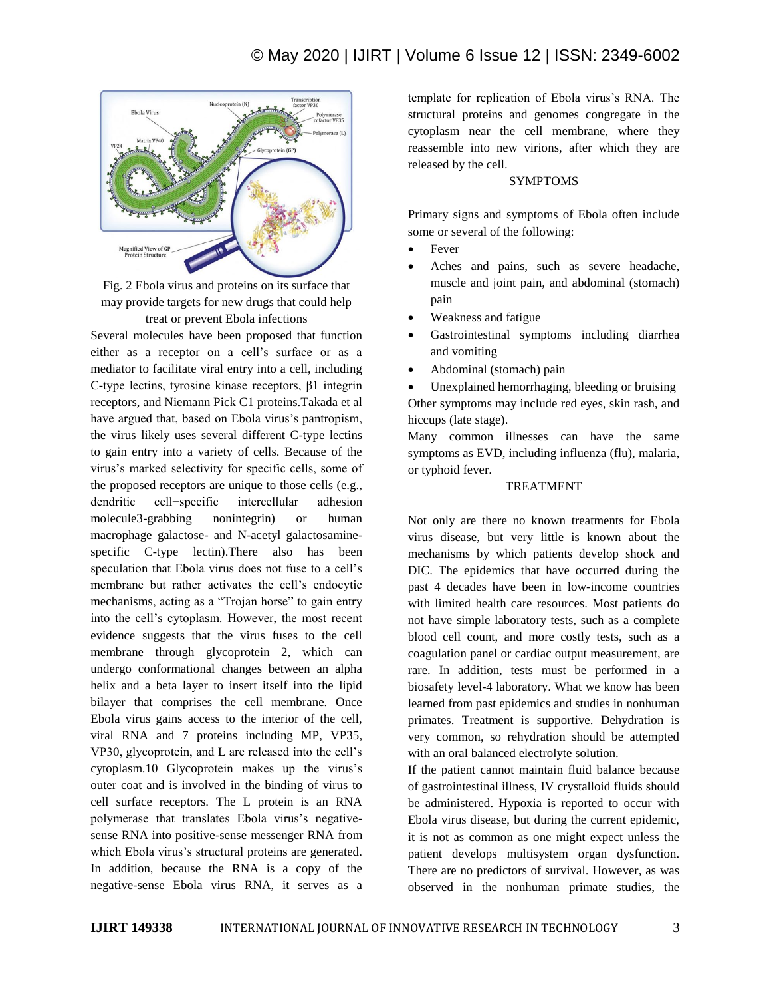

Fig. 2 Ebola virus and proteins on its surface that may provide targets for new drugs that could help treat or prevent Ebola infections

Several molecules have been proposed that function either as a receptor on a cell's surface or as a mediator to facilitate viral entry into a cell, including C-type lectins, tyrosine kinase receptors, β1 integrin receptors, and Niemann Pick C1 proteins.Takada et al have argued that, based on Ebola virus's pantropism, the virus likely uses several different C-type lectins to gain entry into a variety of cells. Because of the virus's marked selectivity for specific cells, some of the proposed receptors are unique to those cells (e.g., dendritic cell−specific intercellular adhesion molecule3-grabbing nonintegrin) or human macrophage galactose- and N-acetyl galactosaminespecific C-type lectin).There also has been speculation that Ebola virus does not fuse to a cell's membrane but rather activates the cell's endocytic mechanisms, acting as a "Trojan horse" to gain entry into the cell's cytoplasm. However, the most recent evidence suggests that the virus fuses to the cell membrane through glycoprotein 2, which can undergo conformational changes between an alpha helix and a beta layer to insert itself into the lipid bilayer that comprises the cell membrane. Once Ebola virus gains access to the interior of the cell, viral RNA and 7 proteins including MP, VP35, VP30, glycoprotein, and L are released into the cell's cytoplasm.10 Glycoprotein makes up the virus's outer coat and is involved in the binding of virus to cell surface receptors. The L protein is an RNA polymerase that translates Ebola virus's negativesense RNA into positive-sense messenger RNA from which Ebola virus's structural proteins are generated. In addition, because the RNA is a copy of the negative-sense Ebola virus RNA, it serves as a

template for replication of Ebola virus's RNA. The structural proteins and genomes congregate in the cytoplasm near the cell membrane, where they reassemble into new virions, after which they are released by the cell.

# SYMPTOMS

Primary signs and symptoms of Ebola often include some or several of the following:

- Fever
- Aches and pains, such as severe headache, muscle and joint pain, and abdominal (stomach) pain
- Weakness and fatigue
- Gastrointestinal symptoms including diarrhea and vomiting
- Abdominal (stomach) pain

 Unexplained hemorrhaging, bleeding or bruising Other symptoms may include red eyes, skin rash, and hiccups (late stage).

Many common illnesses can have the same symptoms as EVD, including influenza (flu), malaria, or typhoid fever.

# TREATMENT

Not only are there no known treatments for Ebola virus disease, but very little is known about the mechanisms by which patients develop shock and DIC. The epidemics that have occurred during the past 4 decades have been in low-income countries with limited health care resources. Most patients do not have simple laboratory tests, such as a complete blood cell count, and more costly tests, such as a coagulation panel or cardiac output measurement, are rare. In addition, tests must be performed in a biosafety level-4 laboratory. What we know has been learned from past epidemics and studies in nonhuman primates. Treatment is supportive. Dehydration is very common, so rehydration should be attempted with an oral balanced electrolyte solution.

If the patient cannot maintain fluid balance because of gastrointestinal illness, IV crystalloid fluids should be administered. Hypoxia is reported to occur with Ebola virus disease, but during the current epidemic, it is not as common as one might expect unless the patient develops multisystem organ dysfunction. There are no predictors of survival. However, as was observed in the nonhuman primate studies, the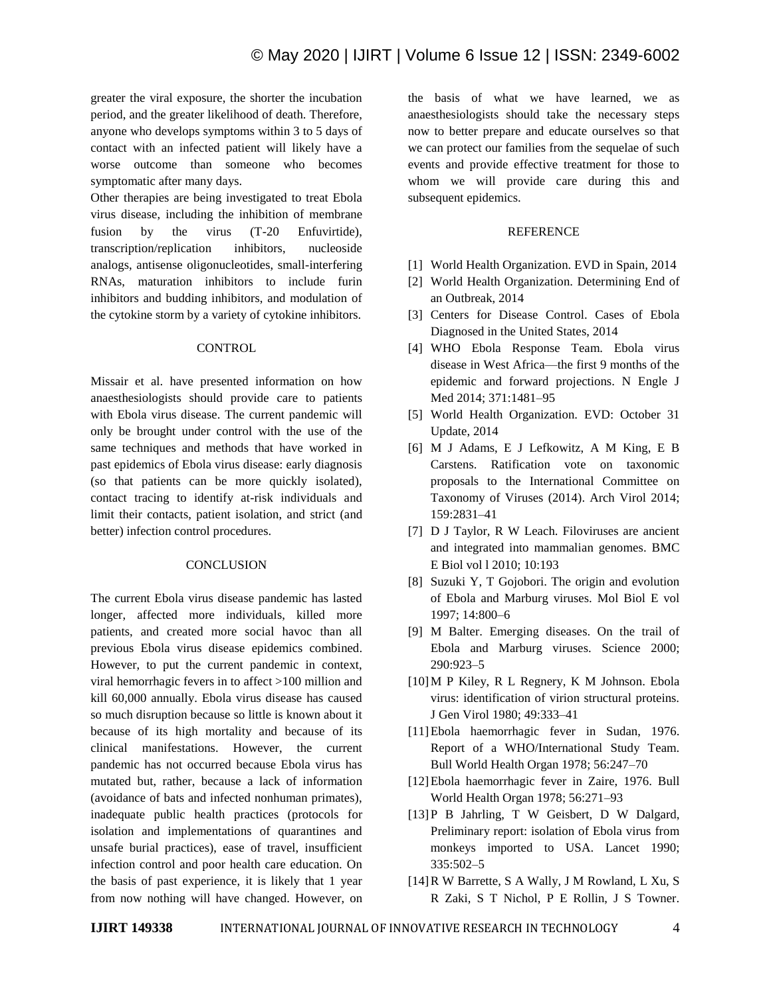greater the viral exposure, the shorter the incubation period, and the greater likelihood of death. Therefore, anyone who develops symptoms within 3 to 5 days of contact with an infected patient will likely have a worse outcome than someone who becomes symptomatic after many days.

Other therapies are being investigated to treat Ebola virus disease, including the inhibition of membrane fusion by the virus (T-20 Enfuvirtide), transcription/replication inhibitors, nucleoside analogs, antisense oligonucleotides, small-interfering RNAs, maturation inhibitors to include furin inhibitors and budding inhibitors, and modulation of the cytokine storm by a variety of cytokine inhibitors.

### **CONTROL**

Missair et al. have presented information on how anaesthesiologists should provide care to patients with Ebola virus disease. The current pandemic will only be brought under control with the use of the same techniques and methods that have worked in past epidemics of Ebola virus disease: early diagnosis (so that patients can be more quickly isolated), contact tracing to identify at-risk individuals and limit their contacts, patient isolation, and strict (and better) infection control procedures.

#### **CONCLUSION**

The current Ebola virus disease pandemic has lasted longer, affected more individuals, killed more patients, and created more social havoc than all previous Ebola virus disease epidemics combined. However, to put the current pandemic in context, viral hemorrhagic fevers in to affect >100 million and kill 60,000 annually. Ebola virus disease has caused so much disruption because so little is known about it because of its high mortality and because of its clinical manifestations. However, the current pandemic has not occurred because Ebola virus has mutated but, rather, because a lack of information (avoidance of bats and infected nonhuman primates), inadequate public health practices (protocols for isolation and implementations of quarantines and unsafe burial practices), ease of travel, insufficient infection control and poor health care education. On the basis of past experience, it is likely that 1 year from now nothing will have changed. However, on the basis of what we have learned, we as anaesthesiologists should take the necessary steps now to better prepare and educate ourselves so that we can protect our families from the sequelae of such events and provide effective treatment for those to whom we will provide care during this and subsequent epidemics.

#### **REFERENCE**

- [1] World Health Organization. EVD in Spain, 2014
- [2] World Health Organization. Determining End of an Outbreak, 2014
- [3] Centers for Disease Control. Cases of Ebola Diagnosed in the United States, 2014
- [4] WHO Ebola Response Team. Ebola virus disease in West Africa—the first 9 months of the epidemic and forward projections. N Engle J Med 2014; 371:1481–95
- [5] World Health Organization. EVD: October 31 Update, 2014
- [6] M J Adams, E J Lefkowitz, A M King, E B Carstens. Ratification vote on taxonomic proposals to the International Committee on Taxonomy of Viruses (2014). Arch Virol 2014; 159:2831–41
- [7] D J Taylor, R W Leach. Filoviruses are ancient and integrated into mammalian genomes. BMC E Biol vol l 2010; 10:193
- [8] Suzuki Y, T Gojobori. The origin and evolution of Ebola and Marburg viruses. Mol Biol E vol 1997; 14:800–6
- [9] M Balter. Emerging diseases. On the trail of Ebola and Marburg viruses. Science 2000; 290:923–5
- [10]M P Kiley, R L Regnery, K M Johnson. Ebola virus: identification of virion structural proteins. J Gen Virol 1980; 49:333–41
- [11]Ebola haemorrhagic fever in Sudan, 1976. Report of a WHO/International Study Team. Bull World Health Organ 1978; 56:247–70
- [12] Ebola haemorrhagic fever in Zaire, 1976. Bull World Health Organ 1978; 56:271–93
- [13]P B Jahrling, T W Geisbert, D W Dalgard, Preliminary report: isolation of Ebola virus from monkeys imported to USA. Lancet 1990; 335:502–5
- [14]R W Barrette, S A Wally, J M Rowland, L Xu, S R Zaki, S T Nichol, P E Rollin, J S Towner.